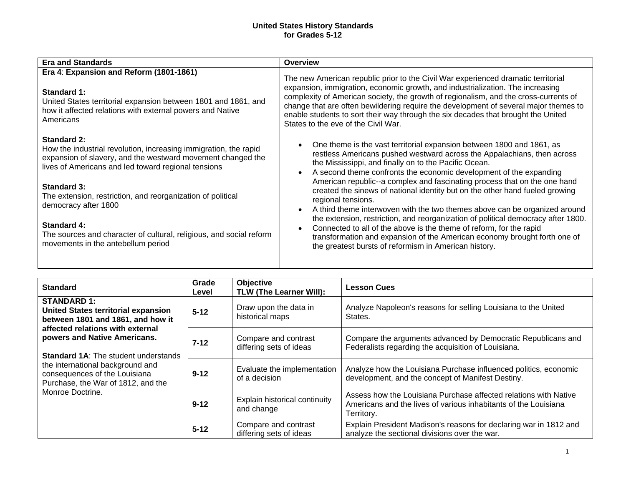## **United States History Standards for Grades 5-12**

| <b>Era and Standards</b>                                                                                                                                                                                                                                                                                                                                                                                                                                     | <b>Overview</b>                                                                                                                                                                                                                                                                                                                                                                                                                                                                                                                                                                                                                                                                                                                                                                                                                                                 |  |
|--------------------------------------------------------------------------------------------------------------------------------------------------------------------------------------------------------------------------------------------------------------------------------------------------------------------------------------------------------------------------------------------------------------------------------------------------------------|-----------------------------------------------------------------------------------------------------------------------------------------------------------------------------------------------------------------------------------------------------------------------------------------------------------------------------------------------------------------------------------------------------------------------------------------------------------------------------------------------------------------------------------------------------------------------------------------------------------------------------------------------------------------------------------------------------------------------------------------------------------------------------------------------------------------------------------------------------------------|--|
| Era 4: Expansion and Reform (1801-1861)<br>Standard 1:<br>United States territorial expansion between 1801 and 1861, and<br>how it affected relations with external powers and Native<br>Americans                                                                                                                                                                                                                                                           | The new American republic prior to the Civil War experienced dramatic territorial<br>expansion, immigration, economic growth, and industrialization. The increasing<br>complexity of American society, the growth of regionalism, and the cross-currents of<br>change that are often bewildering require the development of several major themes to<br>enable students to sort their way through the six decades that brought the United<br>States to the eve of the Civil War.                                                                                                                                                                                                                                                                                                                                                                                 |  |
| <b>Standard 2:</b><br>How the industrial revolution, increasing immigration, the rapid<br>expansion of slavery, and the westward movement changed the<br>lives of Americans and led toward regional tensions<br><b>Standard 3:</b><br>The extension, restriction, and reorganization of political<br>democracy after 1800<br><b>Standard 4:</b><br>The sources and character of cultural, religious, and social reform<br>movements in the antebellum period | One theme is the vast territorial expansion between 1800 and 1861, as<br>restless Americans pushed westward across the Appalachians, then across<br>the Mississippi, and finally on to the Pacific Ocean.<br>A second theme confronts the economic development of the expanding<br>$\bullet$<br>American republic--a complex and fascinating process that on the one hand<br>created the sinews of national identity but on the other hand fueled growing<br>regional tensions.<br>A third theme interwoven with the two themes above can be organized around<br>the extension, restriction, and reorganization of political democracy after 1800.<br>Connected to all of the above is the theme of reform, for the rapid<br>transformation and expansion of the American economy brought forth one of<br>the greatest bursts of reformism in American history. |  |

| <b>Standard</b>                                                                                                                                                                                                                                                                                                                                         | Grade<br>Level | <b>Objective</b><br>TLW (The Learner Will):     | <b>Lesson Cues</b>                                                                                                                                |
|---------------------------------------------------------------------------------------------------------------------------------------------------------------------------------------------------------------------------------------------------------------------------------------------------------------------------------------------------------|----------------|-------------------------------------------------|---------------------------------------------------------------------------------------------------------------------------------------------------|
| <b>STANDARD 1:</b><br><b>United States territorial expansion</b><br>between 1801 and 1861, and how it<br>affected relations with external<br>powers and Native Americans.<br><b>Standard 1A: The student understands</b><br>the international background and<br>consequences of the Louisiana<br>Purchase, the War of 1812, and the<br>Monroe Doctrine. | $5 - 12$       | Draw upon the data in<br>historical maps        | Analyze Napoleon's reasons for selling Louisiana to the United<br>States.                                                                         |
|                                                                                                                                                                                                                                                                                                                                                         | $7 - 12$       | Compare and contrast<br>differing sets of ideas | Compare the arguments advanced by Democratic Republicans and<br>Federalists regarding the acquisition of Louisiana.                               |
|                                                                                                                                                                                                                                                                                                                                                         | $9 - 12$       | Evaluate the implementation<br>of a decision    | Analyze how the Louisiana Purchase influenced politics, economic<br>development, and the concept of Manifest Destiny.                             |
|                                                                                                                                                                                                                                                                                                                                                         | $9 - 12$       | Explain historical continuity<br>and change     | Assess how the Louisiana Purchase affected relations with Native<br>Americans and the lives of various inhabitants of the Louisiana<br>Territory. |
|                                                                                                                                                                                                                                                                                                                                                         | $5 - 12$       | Compare and contrast<br>differing sets of ideas | Explain President Madison's reasons for declaring war in 1812 and<br>analyze the sectional divisions over the war.                                |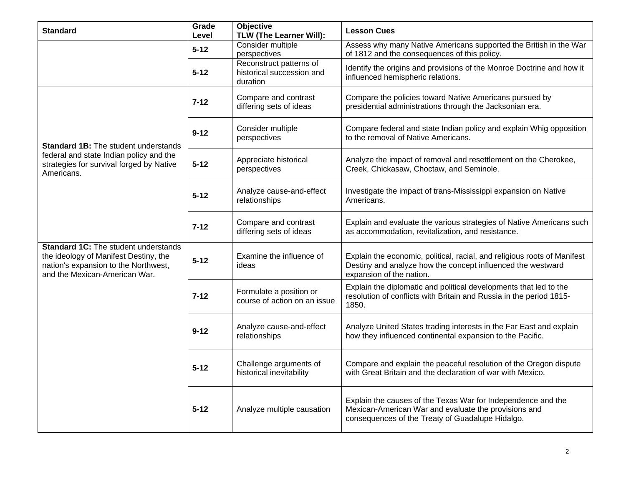| <b>Standard</b>                                                                                                                                               | Grade<br>Level | <b>Objective</b><br>TLW (The Learner Will):                      | <b>Lesson Cues</b>                                                                                                                                                       |
|---------------------------------------------------------------------------------------------------------------------------------------------------------------|----------------|------------------------------------------------------------------|--------------------------------------------------------------------------------------------------------------------------------------------------------------------------|
|                                                                                                                                                               | $5 - 12$       | Consider multiple<br>perspectives                                | Assess why many Native Americans supported the British in the War<br>of 1812 and the consequences of this policy.                                                        |
|                                                                                                                                                               | $5 - 12$       | Reconstruct patterns of<br>historical succession and<br>duration | Identify the origins and provisions of the Monroe Doctrine and how it<br>influenced hemispheric relations.                                                               |
| <b>Standard 1B:</b> The student understands<br>federal and state Indian policy and the<br>strategies for survival forged by Native<br>Americans.              | $7 - 12$       | Compare and contrast<br>differing sets of ideas                  | Compare the policies toward Native Americans pursued by<br>presidential administrations through the Jacksonian era.                                                      |
|                                                                                                                                                               | $9 - 12$       | Consider multiple<br>perspectives                                | Compare federal and state Indian policy and explain Whig opposition<br>to the removal of Native Americans.                                                               |
|                                                                                                                                                               | $5 - 12$       | Appreciate historical<br>perspectives                            | Analyze the impact of removal and resettlement on the Cherokee,<br>Creek, Chickasaw, Choctaw, and Seminole.                                                              |
|                                                                                                                                                               | $5 - 12$       | Analyze cause-and-effect<br>relationships                        | Investigate the impact of trans-Mississippi expansion on Native<br>Americans.                                                                                            |
|                                                                                                                                                               | $7 - 12$       | Compare and contrast<br>differing sets of ideas                  | Explain and evaluate the various strategies of Native Americans such<br>as accommodation, revitalization, and resistance.                                                |
| <b>Standard 1C:</b> The student understands<br>the ideology of Manifest Destiny, the<br>nation's expansion to the Northwest,<br>and the Mexican-American War. | $5 - 12$       | Examine the influence of<br>ideas                                | Explain the economic, political, racial, and religious roots of Manifest<br>Destiny and analyze how the concept influenced the westward<br>expansion of the nation.      |
|                                                                                                                                                               | $7 - 12$       | Formulate a position or<br>course of action on an issue          | Explain the diplomatic and political developments that led to the<br>resolution of conflicts with Britain and Russia in the period 1815-<br>1850.                        |
|                                                                                                                                                               | $9 - 12$       | Analyze cause-and-effect<br>relationships                        | Analyze United States trading interests in the Far East and explain<br>how they influenced continental expansion to the Pacific.                                         |
|                                                                                                                                                               | $5 - 12$       | Challenge arguments of<br>historical inevitability               | Compare and explain the peaceful resolution of the Oregon dispute<br>with Great Britain and the declaration of war with Mexico.                                          |
|                                                                                                                                                               | $5 - 12$       | Analyze multiple causation                                       | Explain the causes of the Texas War for Independence and the<br>Mexican-American War and evaluate the provisions and<br>consequences of the Treaty of Guadalupe Hidalgo. |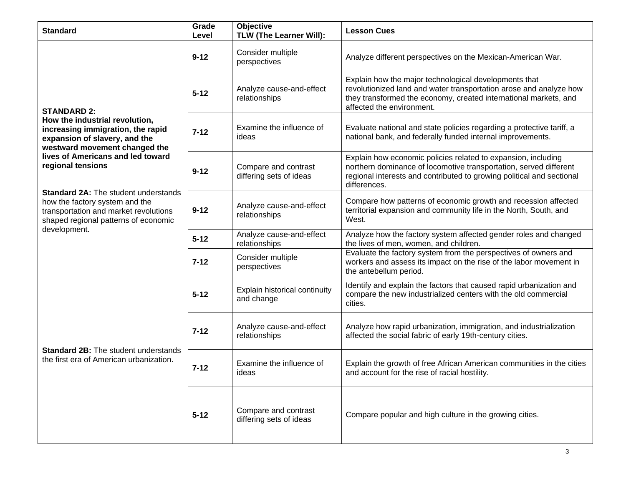| <b>Standard</b>                                                                                                                                                                                                                                                                                                                                                                                         | Grade<br>Level | <b>Objective</b><br>TLW (The Learner Will):     | <b>Lesson Cues</b>                                                                                                                                                                                                           |
|---------------------------------------------------------------------------------------------------------------------------------------------------------------------------------------------------------------------------------------------------------------------------------------------------------------------------------------------------------------------------------------------------------|----------------|-------------------------------------------------|------------------------------------------------------------------------------------------------------------------------------------------------------------------------------------------------------------------------------|
|                                                                                                                                                                                                                                                                                                                                                                                                         | $9 - 12$       | Consider multiple<br>perspectives               | Analyze different perspectives on the Mexican-American War.                                                                                                                                                                  |
| <b>STANDARD 2:</b><br>How the industrial revolution,<br>increasing immigration, the rapid<br>expansion of slavery, and the<br>westward movement changed the<br>lives of Americans and led toward<br>regional tensions<br><b>Standard 2A: The student understands</b><br>how the factory system and the<br>transportation and market revolutions<br>shaped regional patterns of economic<br>development. | $5 - 12$       | Analyze cause-and-effect<br>relationships       | Explain how the major technological developments that<br>revolutionized land and water transportation arose and analyze how<br>they transformed the economy, created international markets, and<br>affected the environment. |
|                                                                                                                                                                                                                                                                                                                                                                                                         | $7 - 12$       | Examine the influence of<br>ideas               | Evaluate national and state policies regarding a protective tariff, a<br>national bank, and federally funded internal improvements.                                                                                          |
|                                                                                                                                                                                                                                                                                                                                                                                                         | $9 - 12$       | Compare and contrast<br>differing sets of ideas | Explain how economic policies related to expansion, including<br>northern dominance of locomotive transportation, served different<br>regional interests and contributed to growing political and sectional<br>differences.  |
|                                                                                                                                                                                                                                                                                                                                                                                                         | $9 - 12$       | Analyze cause-and-effect<br>relationships       | Compare how patterns of economic growth and recession affected<br>territorial expansion and community life in the North, South, and<br>West.                                                                                 |
|                                                                                                                                                                                                                                                                                                                                                                                                         | $5 - 12$       | Analyze cause-and-effect<br>relationships       | Analyze how the factory system affected gender roles and changed<br>the lives of men, women, and children.                                                                                                                   |
|                                                                                                                                                                                                                                                                                                                                                                                                         | $7 - 12$       | Consider multiple<br>perspectives               | Evaluate the factory system from the perspectives of owners and<br>workers and assess its impact on the rise of the labor movement in<br>the antebellum period                                                               |
| <b>Standard 2B:</b> The student understands<br>the first era of American urbanization.                                                                                                                                                                                                                                                                                                                  | $5 - 12$       | Explain historical continuity<br>and change     | Identify and explain the factors that caused rapid urbanization and<br>compare the new industrialized centers with the old commercial<br>cities.                                                                             |
|                                                                                                                                                                                                                                                                                                                                                                                                         | $7 - 12$       | Analyze cause-and-effect<br>relationships       | Analyze how rapid urbanization, immigration, and industrialization<br>affected the social fabric of early 19th-century cities.                                                                                               |
|                                                                                                                                                                                                                                                                                                                                                                                                         | $7 - 12$       | Examine the influence of<br>ideas               | Explain the growth of free African American communities in the cities<br>and account for the rise of racial hostility.                                                                                                       |
|                                                                                                                                                                                                                                                                                                                                                                                                         | $5 - 12$       | Compare and contrast<br>differing sets of ideas | Compare popular and high culture in the growing cities.                                                                                                                                                                      |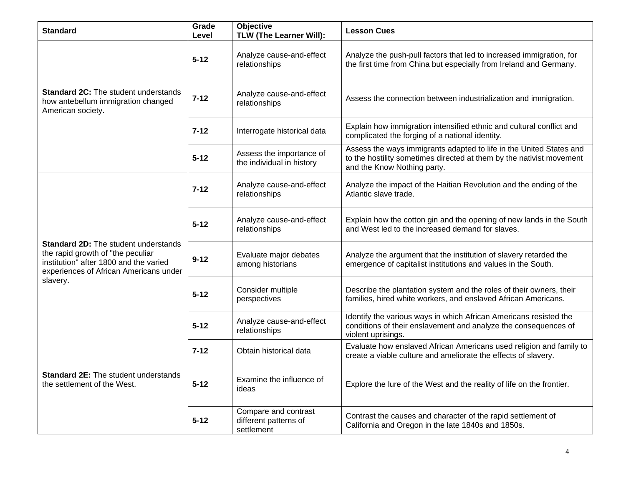| <b>Standard</b>                                                                                                                                                                  | Grade<br>Level | <b>Objective</b><br>TLW (The Learner Will):                 | <b>Lesson Cues</b>                                                                                                                                                         |
|----------------------------------------------------------------------------------------------------------------------------------------------------------------------------------|----------------|-------------------------------------------------------------|----------------------------------------------------------------------------------------------------------------------------------------------------------------------------|
|                                                                                                                                                                                  | $5 - 12$       | Analyze cause-and-effect<br>relationships                   | Analyze the push-pull factors that led to increased immigration, for<br>the first time from China but especially from Ireland and Germany.                                 |
| <b>Standard 2C:</b> The student understands<br>how antebellum immigration changed<br>American society.                                                                           | $7 - 12$       | Analyze cause-and-effect<br>relationships                   | Assess the connection between industrialization and immigration.                                                                                                           |
|                                                                                                                                                                                  | $7 - 12$       | Interrogate historical data                                 | Explain how immigration intensified ethnic and cultural conflict and<br>complicated the forging of a national identity.                                                    |
|                                                                                                                                                                                  | $5 - 12$       | Assess the importance of<br>the individual in history       | Assess the ways immigrants adapted to life in the United States and<br>to the hostility sometimes directed at them by the nativist movement<br>and the Know Nothing party. |
| <b>Standard 2D:</b> The student understands<br>the rapid growth of "the peculiar<br>institution" after 1800 and the varied<br>experiences of African Americans under<br>slavery. | $7 - 12$       | Analyze cause-and-effect<br>relationships                   | Analyze the impact of the Haitian Revolution and the ending of the<br>Atlantic slave trade.                                                                                |
|                                                                                                                                                                                  | $5 - 12$       | Analyze cause-and-effect<br>relationships                   | Explain how the cotton gin and the opening of new lands in the South<br>and West led to the increased demand for slaves.                                                   |
|                                                                                                                                                                                  | $9 - 12$       | Evaluate major debates<br>among historians                  | Analyze the argument that the institution of slavery retarded the<br>emergence of capitalist institutions and values in the South.                                         |
|                                                                                                                                                                                  | $5 - 12$       | Consider multiple<br>perspectives                           | Describe the plantation system and the roles of their owners, their<br>families, hired white workers, and enslaved African Americans.                                      |
|                                                                                                                                                                                  | $5 - 12$       | Analyze cause-and-effect<br>relationships                   | Identify the various ways in which African Americans resisted the<br>conditions of their enslavement and analyze the consequences of<br>violent uprisings.                 |
|                                                                                                                                                                                  | $7 - 12$       | Obtain historical data                                      | Evaluate how enslaved African Americans used religion and family to<br>create a viable culture and ameliorate the effects of slavery.                                      |
| <b>Standard 2E:</b> The student understands<br>the settlement of the West.                                                                                                       | $5 - 12$       | Examine the influence of<br>ideas                           | Explore the lure of the West and the reality of life on the frontier.                                                                                                      |
|                                                                                                                                                                                  | $5 - 12$       | Compare and contrast<br>different patterns of<br>settlement | Contrast the causes and character of the rapid settlement of<br>California and Oregon in the late 1840s and 1850s.                                                         |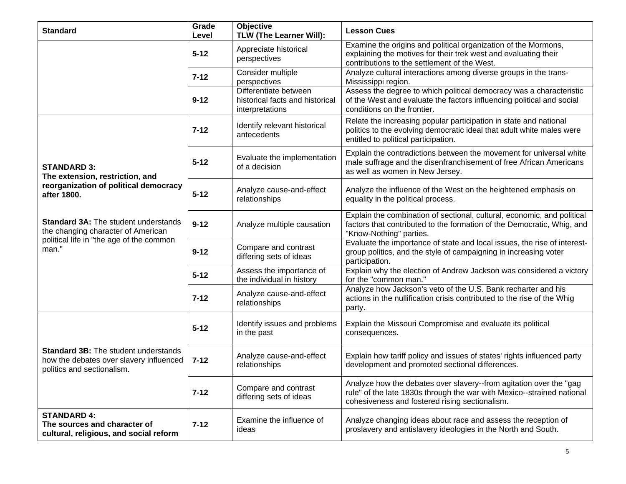| <b>Standard</b>                                                                                                                        | Grade<br>Level | Objective<br>TLW (The Learner Will):                                        | <b>Lesson Cues</b>                                                                                                                                                                             |
|----------------------------------------------------------------------------------------------------------------------------------------|----------------|-----------------------------------------------------------------------------|------------------------------------------------------------------------------------------------------------------------------------------------------------------------------------------------|
|                                                                                                                                        | $5 - 12$       | Appreciate historical<br>perspectives                                       | Examine the origins and political organization of the Mormons,<br>explaining the motives for their trek west and evaluating their<br>contributions to the settlement of the West.              |
|                                                                                                                                        | $7 - 12$       | Consider multiple<br>perspectives                                           | Analyze cultural interactions among diverse groups in the trans-<br>Mississippi region.                                                                                                        |
|                                                                                                                                        | $9 - 12$       | Differentiate between<br>historical facts and historical<br>interpretations | Assess the degree to which political democracy was a characteristic<br>of the West and evaluate the factors influencing political and social<br>conditions on the frontier.                    |
|                                                                                                                                        | $7 - 12$       | Identify relevant historical<br>antecedents                                 | Relate the increasing popular participation in state and national<br>politics to the evolving democratic ideal that adult white males were<br>entitled to political participation.             |
| <b>STANDARD 3:</b><br>The extension, restriction, and                                                                                  | $5 - 12$       | Evaluate the implementation<br>of a decision                                | Explain the contradictions between the movement for universal white<br>male suffrage and the disenfranchisement of free African Americans<br>as well as women in New Jersey.                   |
| reorganization of political democracy<br>after 1800.                                                                                   | $5 - 12$       | Analyze cause-and-effect<br>relationships                                   | Analyze the influence of the West on the heightened emphasis on<br>equality in the political process.                                                                                          |
| <b>Standard 3A: The student understands</b><br>the changing character of American<br>political life in "the age of the common<br>man." | $9 - 12$       | Analyze multiple causation                                                  | Explain the combination of sectional, cultural, economic, and political<br>factors that contributed to the formation of the Democratic, Whig, and<br>"Know-Nothing" parties.                   |
|                                                                                                                                        | $9 - 12$       | Compare and contrast<br>differing sets of ideas                             | Evaluate the importance of state and local issues, the rise of interest-<br>group politics, and the style of campaigning in increasing voter<br>participation.                                 |
|                                                                                                                                        | $5 - 12$       | Assess the importance of<br>the individual in history                       | Explain why the election of Andrew Jackson was considered a victory<br>for the "common man."                                                                                                   |
|                                                                                                                                        | $7 - 12$       | Analyze cause-and-effect<br>relationships                                   | Analyze how Jackson's veto of the U.S. Bank recharter and his<br>actions in the nullification crisis contributed to the rise of the Whig<br>party.                                             |
| <b>Standard 3B:</b> The student understands<br>how the debates over slavery influenced<br>politics and sectionalism.                   | $5 - 12$       | Identify issues and problems<br>in the past                                 | Explain the Missouri Compromise and evaluate its political<br>consequences.                                                                                                                    |
|                                                                                                                                        | $7 - 12$       | Analyze cause-and-effect<br>relationships                                   | Explain how tariff policy and issues of states' rights influenced party<br>development and promoted sectional differences.                                                                     |
|                                                                                                                                        | $7 - 12$       | Compare and contrast<br>differing sets of ideas                             | Analyze how the debates over slavery--from agitation over the "gag<br>rule" of the late 1830s through the war with Mexico--strained national<br>cohesiveness and fostered rising sectionalism. |
| <b>STANDARD 4:</b><br>The sources and character of<br>cultural, religious, and social reform                                           | $7 - 12$       | Examine the influence of<br>ideas                                           | Analyze changing ideas about race and assess the reception of<br>proslavery and antislavery ideologies in the North and South.                                                                 |